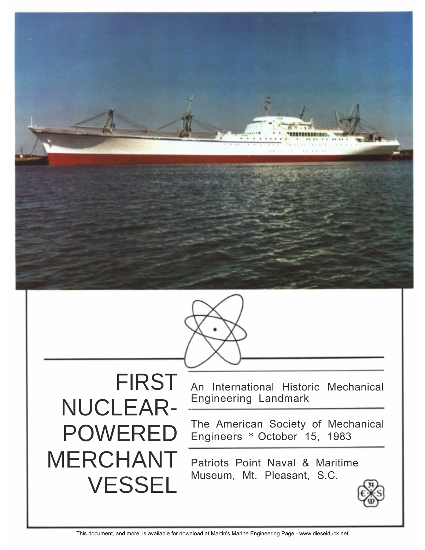



NUCLEAR- Engineering Landmark<br>
DOIALEDED The American Society of Mechanical POWERED MERCHANT Patriots Point Naval & Maritime VESSEL

FIRST An International Historic Mechanical

Engineers \* October 15, 1983

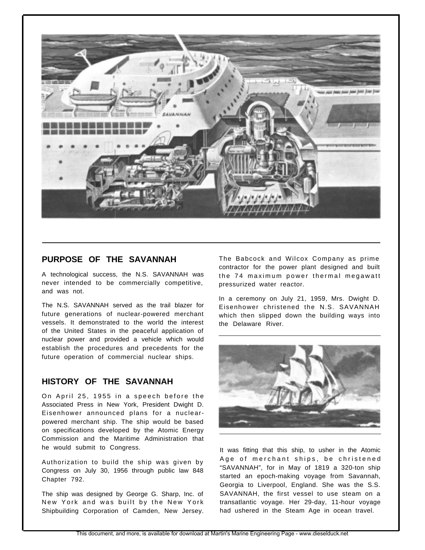

## **PURPOSE OF THE SAVANNAH**

A technological success, the N.S. SAVANNAH was never intended to be commercially competitive, and was not.

The N.S. SAVANNAH served as the trail blazer for future generations of nuclear-powered merchant vessels. It demonstrated to the world the interest of the United States in the peaceful application of nuclear power and provided a vehicle which would establish the procedures and precedents for the future operation of commercial nuclear ships.

## **HISTORY OF THE SAVANNAH**

On April 25, 1955 in a speech before the Associated Press in New York, President Dwight D. Eisenhower announced plans for a nuclearpowered merchant ship. The ship would be based on specifications developed by the Atomic Energy Commission and the Maritime Administration that he would submit to Congress.

Authorization to build the ship was given by Congress on July 30, 1956 through public law 848 Chapter 792.

The ship was designed by George G. Sharp, Inc. of New York and was built by the New York Shipbuilding Corporation of Camden, New Jersey.

The Babcock and Wilcox Company as prime contractor for the power plant designed and built the 74 maximum power thermal megawatt pressurized water reactor.

In a ceremony on July 21, 1959, Mrs. Dwight D. Eisenhower christened the N.S. SAVANNAH which then slipped down the building ways into the Delaware River.



It was fitting that this ship, to usher in the Atomic Age of merchant ships, be christened "SAVANNAH", for in May of 1819 a 320-ton ship started an epoch-making voyage from Savannah, Georgia to Liverpool, England. She was the S.S. SAVANNAH, the first vessel to use steam on a transatlantic voyage. Her 29-day, 11-hour voyage had ushered in the Steam Age in ocean travel.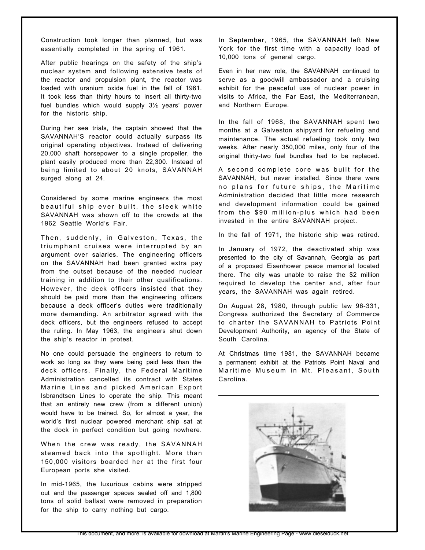Construction took longer than planned, but was essentially completed in the spring of 1961.

After public hearings on the safety of the ship's nuclear system and following extensive tests of the reactor and propulsion plant, the reactor was loaded with uranium oxide fuel in the fall of 1961. It took less than thirty hours to insert all thirty-two fuel bundles which would supply 3½ years' power for the historic ship.

During her sea trials, the captain showed that the SAVANNAH'S reactor could actually surpass its original operating objectives. Instead of delivering 20,000 shaft horsepower to a single propeller, the plant easily produced more than 22,300. Instead of being limited to about 20 knots, SAVANNAH surged along at 24.

Considered by some marine engineers the most beautiful ship ever built, the sleek white SAVANNAH was shown off to the crowds at the 1962 Seattle World's Fair.

Then, suddenly, in Galveston, Texas, the triumphant cruises were interrupted by an argument over salaries. The engineering officers on the SAVANNAH had been granted extra pay from the outset because of the needed nuclear training in addition to their other qualifications. However, the deck officers insisted that they should be paid more than the engineering officers because a deck officer's duties were traditionally more demanding. An arbitrator agreed with the deck officers, but the engineers refused to accept the ruling. In May 1963, the engineers shut down the ship's reactor in protest.

No one could persuade the engineers to return to work so long as they were being paid less than the deck officers. Finally, the Federal Maritime Administration cancelled its contract with States Marine Lines and picked American Export Isbrandtsen Lines to operate the ship. This meant that an entirely new crew (from a different union) would have to be trained. So, for almost a year, the world's first nuclear powered merchant ship sat at the dock in perfect condition but going nowhere.

When the crew was ready, the SAVANNAH steamed back into the spotlight. More than 150,000 visitors boarded her at the first four European ports she visited.

In mid-1965, the luxurious cabins were stripped out and the passenger spaces sealed off and 1,800 tons of solid ballast were removed in preparation for the ship to carry nothing but cargo.

In September, 1965, the SAVANNAH left New York for the first time with a capacity load of 10,000 tons of general cargo.

Even in her new role, the SAVANNAH continued to serve as a goodwill ambassador and a cruising exhibit for the peaceful use of nuclear power in visits to Africa, the Far East, the Mediterranean, and Northern Europe.

In the fall of 1968, the SAVANNAH spent two months at a Galveston shipyard for refueling and maintenance. The actual refueling took only two weeks. After nearly 350,000 miles, only four of the original thirty-two fuel bundles had to be replaced.

A second complete core was built for the SAVANNAH, but never installed. Since there were no plans for future ships, the Maritime Administration decided that little more research and development information could be gained from the \$90 million-plus which had been invested in the entire SAVANNAH project.

In the fall of 1971, the historic ship was retired.

In January of 1972, the deactivated ship was presented to the city of Savannah, Georgia as part of a proposed Eisenhower peace memorial located there. The city was unable to raise the \$2 million required to develop the center and, after four years, the SAVANNAH was again retired.

On August 28, 1980, through public law 96-331, Congress authorized the Secretary of Commerce to charter the SAVANNAH to Patriots Point Development Authority, an agency of the State of South Carolina.

At Christmas time 1981, the SAVANNAH became a permanent exhibit at the Patriots Point Naval and Maritime Museum in Mt. Pleasant, South Carolina.

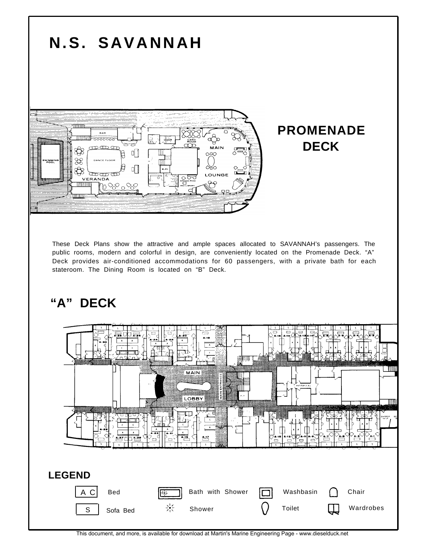



This document, and more, is available for download at Martin's Marine Engineering Page - www.dieselduck.net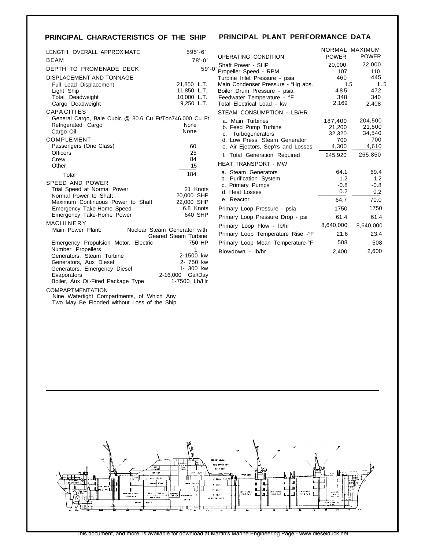# **PRINCIPAL CHARACTERISTICS OF THE SHIP PRINCIPAL PLANT PERFORMANCE DATA**

| LENGTH, OVERALL APPROXIMATE                                                   | $595' - 6"$                   |   |  |
|-------------------------------------------------------------------------------|-------------------------------|---|--|
| <b>BEAM</b>                                                                   | $78' - 0''$                   | C |  |
| DEPTH TO PROMENADE DECK                                                       | $59' - 0''$                   |   |  |
| DISPLACEMENT AND TONNAGE                                                      |                               |   |  |
| Full Load Displacement                                                        | 21,850 L.T.                   | Ν |  |
| Light Ship                                                                    | 11,850 L.T.                   | E |  |
| Total Deadweight                                                              | 10,000 L.T.                   | F |  |
| Cargo Deadweight                                                              | 9,250 L.T.                    | I |  |
| CAPACITIES                                                                    |                               | Ś |  |
| General Cargo, Bale Cubic @ 80.6 Cu Ft/Ton746,000 Cu Ft<br>Refrigerated Cargo | None                          |   |  |
| Cargo Oil                                                                     | None                          |   |  |
| COMPLEMENT                                                                    |                               |   |  |
| Passengers (One Class)                                                        | 60                            |   |  |
| <b>Officers</b>                                                               | 25                            |   |  |
| Crew                                                                          | 84                            |   |  |
| Other                                                                         | 15                            | ۲ |  |
| Total                                                                         | 184                           |   |  |
| SPEED AND POWER                                                               |                               |   |  |
| Trial Speed at Normal Power                                                   | 21 Knots                      |   |  |
| Normal Power to Shaft                                                         | 20,000 SHP                    |   |  |
| Maximum Continuous Power to Shaft                                             | 22,000 SHP                    |   |  |
| Emergency Take-Home Speed<br>Emergency Take-Home Power                        | 6.8 Knots<br>640 SHP          | F |  |
| MACHINERY                                                                     |                               | F |  |
| Main Power Plant:                                                             | Nuclear Steam Generator with  | F |  |
|                                                                               | Geared Steam Turbine          | F |  |
| Emergency Propulsion Motor, Electric                                          | 750 HP                        | F |  |
| Number Propellers                                                             | 1                             | E |  |
| Generators, Steam Turbine                                                     | 2-1500 kw                     |   |  |
| Generators, Aux Diesel                                                        | 2- 750 kw                     |   |  |
| Generators, Emergency Diesel                                                  | 1- 300 kw<br>2-16,000 Gal/Day |   |  |
| Evaporators<br>Boiler, Aux Oil-Fired Package Type                             | 1-7500 Lb/Hr                  |   |  |
| <b>COMPARTMENTATION</b>                                                       |                               |   |  |
| Nine Watertight Compartments, of Which Any                                    |                               |   |  |
| Two May Be Flooded without Loss of the Ship                                   |                               |   |  |

| OPERATING CONDITION                                     | <b>POWER</b>  | NORMAL MAXIMUM<br><b>POWER</b> |
|---------------------------------------------------------|---------------|--------------------------------|
| <sup>"</sup> Shaft Power - SHP<br>Propeller Speed - RPM | 20,000<br>107 | 22,000<br>110                  |
| Turbine Inlet Pressure - psia                           | 460           | 445                            |
| Main Condenser Pressure - "Hg abs.                      | 1.5           | 1.5                            |
| Boiler Drum Pressure - psia                             | 485           | 472                            |
| Feedwater Temperature - °F                              | 348           | 340                            |
| Total Electrical Load - kw                              | 2,169         | 2,408                          |
| STEAM CONSUMPTION - LB/HR                               |               |                                |
| a. Main Turbines                                        | 187,400       | 204,500                        |
| b. Feed Pump Turbine                                    | 21,200        | 21,500                         |
| c. Turbogenerators                                      | 32,320        | 34,540                         |
| d. Low Press. Steam Generator                           | 700           | 700                            |
| e. Air Ejectors, Sep'rs and Losses                      | 4,300         | 4,610                          |
| f. Total Generation Required                            | 245,920       | 265,850                        |
| <b>HEAT TRANSPORT - MW</b>                              |               |                                |
| a. Steam Generators                                     | 64.1          | 69.4                           |
| b. Purification System                                  | 1.2           | 1.2                            |
| c. Primary Pumps                                        | $-0.8$        | $-0.8$                         |
| d. Heat Losses                                          | 0.2           | 0.2                            |
| e. Reactor                                              | 64.7          | 70.0                           |
| Primary Loop Pressure - psia                            | 1750          | 1750                           |
| Primary Loop Pressure Drop - psi                        | 61.4          | 61.4                           |
| Primary Loop Flow - lb/hr                               | 8,640,000     | 8,640,000                      |
| Primary Loop Temperature Rise - °F                      | 21.6          | 23.4                           |
| Primary Loop Mean Temperature-°F                        | 508           | 508                            |
| Blowdown - lb/hr                                        | 2,400         | 2,600                          |
|                                                         |               |                                |